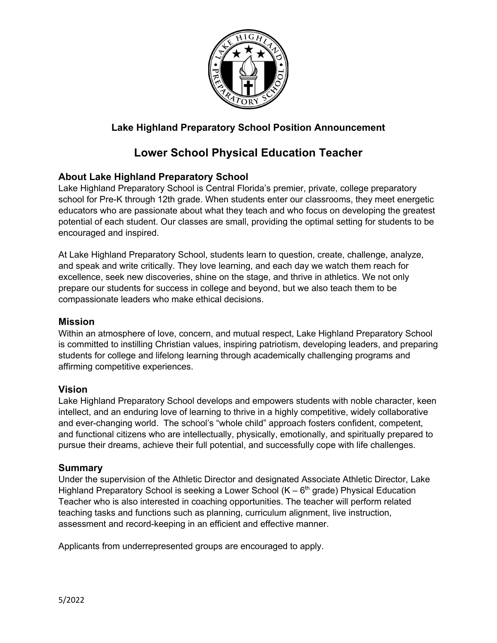

# **Lake Highland Preparatory School Position Announcement**

# **Lower School Physical Education Teacher**

## **About Lake Highland Preparatory School**

Lake Highland Preparatory School is Central Florida's premier, private, college preparatory school for Pre-K through 12th grade. When students enter our classrooms, they meet energetic educators who are passionate about what they teach and who focus on developing the greatest potential of each student. Our classes are small, providing the optimal setting for students to be encouraged and inspired.

At Lake Highland Preparatory School, students learn to question, create, challenge, analyze, and speak and write critically. They love learning, and each day we watch them reach for excellence, seek new discoveries, shine on the stage, and thrive in athletics. We not only prepare our students for success in college and beyond, but we also teach them to be compassionate leaders who make ethical decisions.

#### **Mission**

Within an atmosphere of love, concern, and mutual respect, Lake Highland Preparatory School is committed to instilling Christian values, inspiring patriotism, developing leaders, and preparing students for college and lifelong learning through academically challenging programs and affirming competitive experiences.

#### **Vision**

Lake Highland Preparatory School develops and empowers students with noble character, keen intellect, and an enduring love of learning to thrive in a highly competitive, widely collaborative and ever-changing world. The school's "whole child" approach fosters confident, competent, and functional citizens who are intellectually, physically, emotionally, and spiritually prepared to pursue their dreams, achieve their full potential, and successfully cope with life challenges.

#### **Summary**

Under the supervision of the Athletic Director and designated Associate Athletic Director, Lake Highland Preparatory School is seeking a Lower School  $(K - 6<sup>th</sup>$  grade) Physical Education Teacher who is also interested in coaching opportunities. The teacher will perform related teaching tasks and functions such as planning, curriculum alignment, live instruction, assessment and record-keeping in an efficient and effective manner.

Applicants from underrepresented groups are encouraged to apply.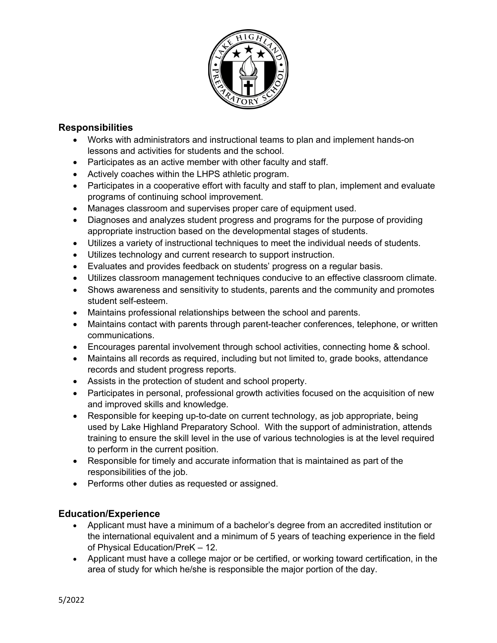

## **Responsibilities**

- Works with administrators and instructional teams to plan and implement hands-on lessons and activities for students and the school.
- Participates as an active member with other faculty and staff.
- Actively coaches within the LHPS athletic program.
- Participates in a cooperative effort with faculty and staff to plan, implement and evaluate programs of continuing school improvement.
- Manages classroom and supervises proper care of equipment used.
- Diagnoses and analyzes student progress and programs for the purpose of providing appropriate instruction based on the developmental stages of students.
- Utilizes a variety of instructional techniques to meet the individual needs of students.
- Utilizes technology and current research to support instruction.
- Evaluates and provides feedback on students' progress on a regular basis.
- Utilizes classroom management techniques conducive to an effective classroom climate.
- Shows awareness and sensitivity to students, parents and the community and promotes student self-esteem.
- Maintains professional relationships between the school and parents.
- Maintains contact with parents through parent-teacher conferences, telephone, or written communications.
- Encourages parental involvement through school activities, connecting home & school.
- Maintains all records as required, including but not limited to, grade books, attendance records and student progress reports.
- Assists in the protection of student and school property.
- Participates in personal, professional growth activities focused on the acquisition of new and improved skills and knowledge.
- Responsible for keeping up-to-date on current technology, as job appropriate, being used by Lake Highland Preparatory School. With the support of administration, attends training to ensure the skill level in the use of various technologies is at the level required to perform in the current position.
- Responsible for timely and accurate information that is maintained as part of the responsibilities of the job.
- Performs other duties as requested or assigned.

## **Education/Experience**

- Applicant must have a minimum of a bachelor's degree from an accredited institution or the international equivalent and a minimum of 5 years of teaching experience in the field of Physical Education/PreK – 12.
- Applicant must have a college major or be certified, or working toward certification, in the area of study for which he/she is responsible the major portion of the day.